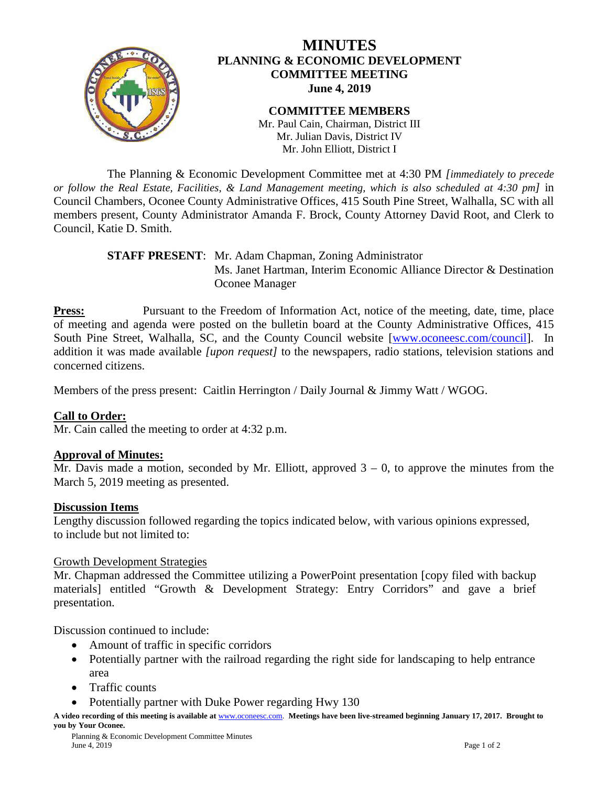

# **MINUTES PLANNING & ECONOMIC DEVELOPMENT COMMITTEE MEETING June 4, 2019**

**COMMITTEE MEMBERS** Mr. Paul Cain, Chairman, District III Mr. Julian Davis, District IV Mr. John Elliott, District I

The Planning & Economic Development Committee met at 4:30 PM *[immediately to precede or follow the Real Estate, Facilities, & Land Management meeting, which is also scheduled at 4:30 pm]* in Council Chambers, Oconee County Administrative Offices, 415 South Pine Street, Walhalla, SC with all members present, County Administrator Amanda F. Brock, County Attorney David Root, and Clerk to Council, Katie D. Smith.

## **STAFF PRESENT**: Mr. Adam Chapman, Zoning Administrator Ms. Janet Hartman, Interim Economic Alliance Director & Destination Oconee Manager

**Press:** Pursuant to the Freedom of Information Act, notice of the meeting, date, time, place of meeting and agenda were posted on the bulletin board at the County Administrative Offices, 415 South Pine Street, Walhalla, SC, and the County Council website [\[www.oconeesc.com/council\]](http://www.oconeesc.com/council). In addition it was made available *[upon request]* to the newspapers, radio stations, television stations and concerned citizens.

Members of the press present: Caitlin Herrington / Daily Journal & Jimmy Watt / WGOG.

# **Call to Order:**

Mr. Cain called the meeting to order at 4:32 p.m.

# **Approval of Minutes:**

Mr. Davis made a motion, seconded by Mr. Elliott, approved  $3 - 0$ , to approve the minutes from the March 5, 2019 meeting as presented.

## **Discussion Items**

Lengthy discussion followed regarding the topics indicated below, with various opinions expressed, to include but not limited to:

## Growth Development Strategies

Mr. Chapman addressed the Committee utilizing a PowerPoint presentation [copy filed with backup materials] entitled "Growth & Development Strategy: Entry Corridors" and gave a brief presentation.

Discussion continued to include:

- Amount of traffic in specific corridors
- Potentially partner with the railroad regarding the right side for landscaping to help entrance area
- Traffic counts
- Potentially partner with Duke Power regarding Hwy 130

**A video recording of this meeting is available at** [www.oconeesc.com.](http://www.oconeesc.com/) **Meetings have been live-streamed beginning January 17, 2017. Brought to you by Your Oconee.**